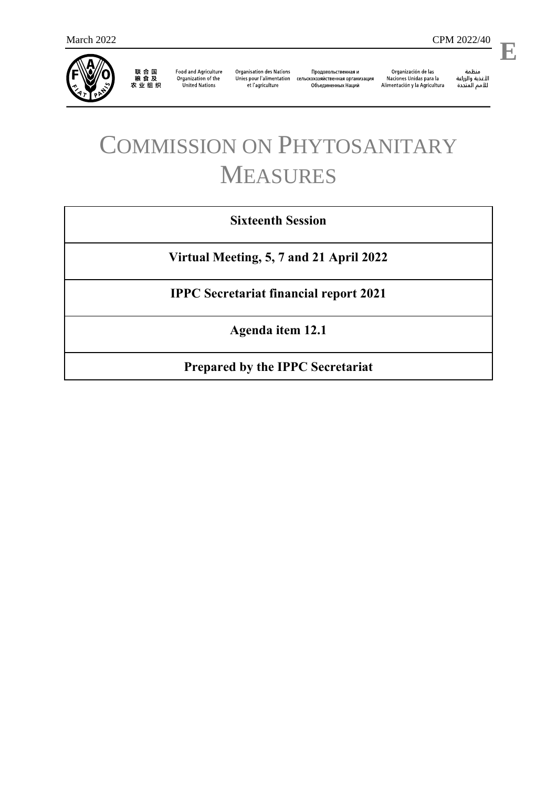

联 合 国<br>粮 食 及<br>农 业 组 织

**Food and Agriculture** Organization of the **United Nations** 

**Organisation des Nations** et l'agriculture

Продовольственная и Unies pour l'alimentation сельскохозяйственная организация Объединенных Наций

Organización de las Naciones Unidas para la Alimentación y la Agricultura

منظمة ستنسه<br>الأغذية والزراعة<br>للأمم المتددة

l,

**E**

# COMMISSION ON PHYTOSANITARY MEASURES

# **Sixteenth Session**

**Virtual Meeting, 5, 7 and 21 April 2022**

**IPPC Secretariat financial report 2021**

**Agenda item 12.1**

**Prepared by the IPPC Secretariat**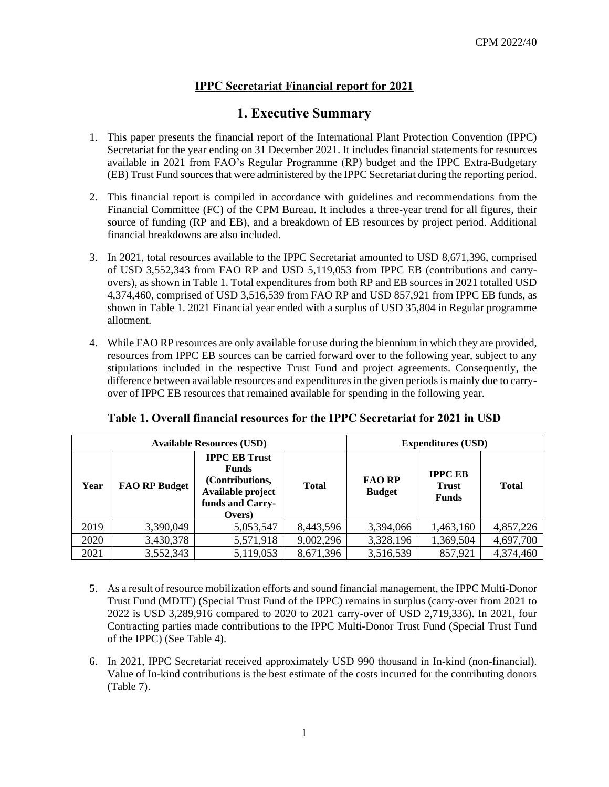### **IPPC Secretariat Financial report for 2021**

# **1. Executive Summary**

- 1. This paper presents the financial report of the International Plant Protection Convention (IPPC) Secretariat for the year ending on 31 December 2021. It includes financial statements for resources available in 2021 from FAO's Regular Programme (RP) budget and the IPPC Extra-Budgetary (EB) Trust Fund sources that were administered by the IPPC Secretariat during the reporting period.
- 2. This financial report is compiled in accordance with guidelines and recommendations from the Financial Committee (FC) of the CPM Bureau. It includes a three-year trend for all figures, their source of funding (RP and EB), and a breakdown of EB resources by project period. Additional financial breakdowns are also included.
- 3. In 2021, total resources available to the IPPC Secretariat amounted to USD 8,671,396, comprised of USD 3,552,343 from FAO RP and USD 5,119,053 from IPPC EB (contributions and carryovers), as shown in Table 1. Total expenditures from both RP and EB sources in 2021 totalled USD 4,374,460, comprised of USD 3,516,539 from FAO RP and USD 857,921 from IPPC EB funds, as shown in Table 1. 2021 Financial year ended with a surplus of USD 35,804 in Regular programme allotment.
- 4. While FAO RP resources are only available for use during the biennium in which they are provided, resources from IPPC EB sources can be carried forward over to the following year, subject to any stipulations included in the respective Trust Fund and project agreements. Consequently, the difference between available resources and expenditures in the given periods is mainly due to carryover of IPPC EB resources that remained available for spending in the following year.

|      |                                                                                                                                    | <b>Available Resources (USD)</b> |              | <b>Expenditures (USD)</b>      |                                                |              |
|------|------------------------------------------------------------------------------------------------------------------------------------|----------------------------------|--------------|--------------------------------|------------------------------------------------|--------------|
| Year | <b>IPPC EB Trust</b><br><b>Funds</b><br>(Contributions,<br><b>FAO RP Budget</b><br>Available project<br>funds and Carry-<br>Overs) |                                  | <b>Total</b> | <b>FAO RP</b><br><b>Budget</b> | <b>IPPC EB</b><br><b>Trust</b><br><b>Funds</b> | <b>Total</b> |
| 2019 | 3,390,049                                                                                                                          | 5,053,547                        | 8,443,596    | 3,394,066                      | 1,463,160                                      | 4,857,226    |
| 2020 | 3,430,378                                                                                                                          | 5,571,918                        | 9,002,296    | 3,328,196                      | 1,369,504                                      | 4,697,700    |
| 2021 | 3,552,343                                                                                                                          | 5,119,053                        | 8,671,396    | 3,516,539                      | 857,921                                        | 4,374,460    |

#### **Table 1. Overall financial resources for the IPPC Secretariat for 2021 in USD**

- 5. As a result of resource mobilization efforts and sound financial management, the IPPC Multi-Donor Trust Fund (MDTF) (Special Trust Fund of the IPPC) remains in surplus (carry-over from 2021 to 2022 is USD 3,289,916 compared to 2020 to 2021 carry-over of USD 2,719,336). In 2021, four Contracting parties made contributions to the IPPC Multi-Donor Trust Fund (Special Trust Fund of the IPPC) (See Table 4).
- 6. In 2021, IPPC Secretariat received approximately USD 990 thousand in In-kind (non-financial). Value of In-kind contributions is the best estimate of the costs incurred for the contributing donors (Table 7).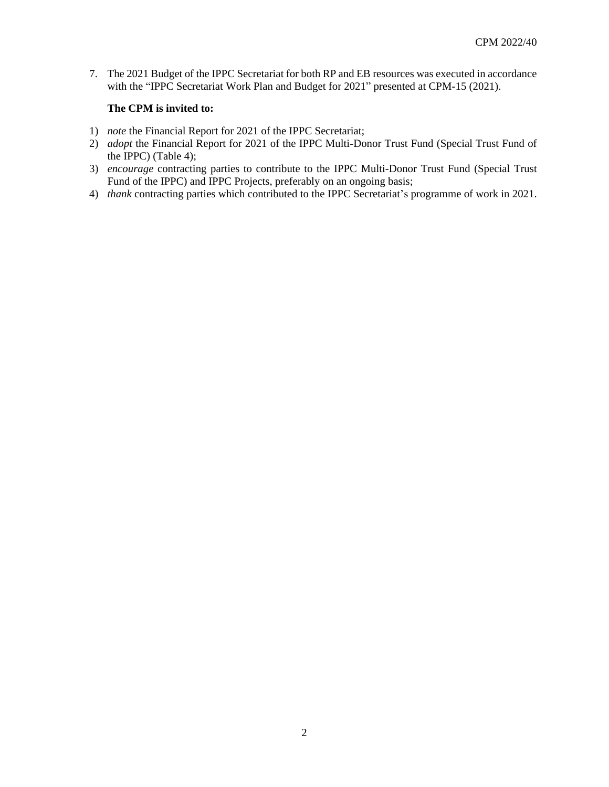7. The 2021 Budget of the IPPC Secretariat for both RP and EB resources was executed in accordance with the "IPPC Secretariat Work Plan and Budget for 2021" presented at CPM-15 (2021).

#### **The CPM is invited to:**

- 1) *note* the Financial Report for 2021 of the IPPC Secretariat;
- 2) *adopt* the Financial Report for 2021 of the IPPC Multi-Donor Trust Fund (Special Trust Fund of the IPPC) (Table 4);
- 3) *encourage* contracting parties to contribute to the IPPC Multi-Donor Trust Fund (Special Trust Fund of the IPPC) and IPPC Projects, preferably on an ongoing basis;
- 4) *thank* contracting parties which contributed to the IPPC Secretariat's programme of work in 2021.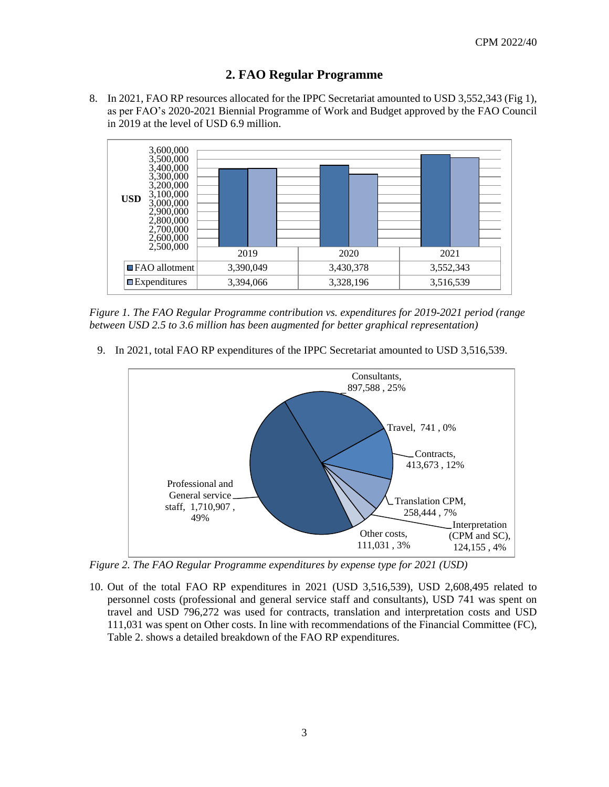#### **2. FAO Regular Programme**

8. In 2021, FAO RP resources allocated for the IPPC Secretariat amounted to USD 3,552,343 (Fig 1), as per FAO's 2020-2021 Biennial Programme of Work and Budget approved by the FAO Council in 2019 at the level of USD 6.9 million.



*Figure 1. The FAO Regular Programme contribution vs. expenditures for 2019-2021 period (range between USD 2.5 to 3.6 million has been augmented for better graphical representation)*

9. In 2021, total FAO RP expenditures of the IPPC Secretariat amounted to USD 3,516,539.



*Figure 2. The FAO Regular Programme expenditures by expense type for 2021 (USD)*

10. Out of the total FAO RP expenditures in 2021 (USD 3,516,539), USD 2,608,495 related to personnel costs (professional and general service staff and consultants), USD 741 was spent on travel and USD 796,272 was used for contracts, translation and interpretation costs and USD 111,031 was spent on Other costs. In line with recommendations of the Financial Committee (FC), Table 2. shows a detailed breakdown of the FAO RP expenditures.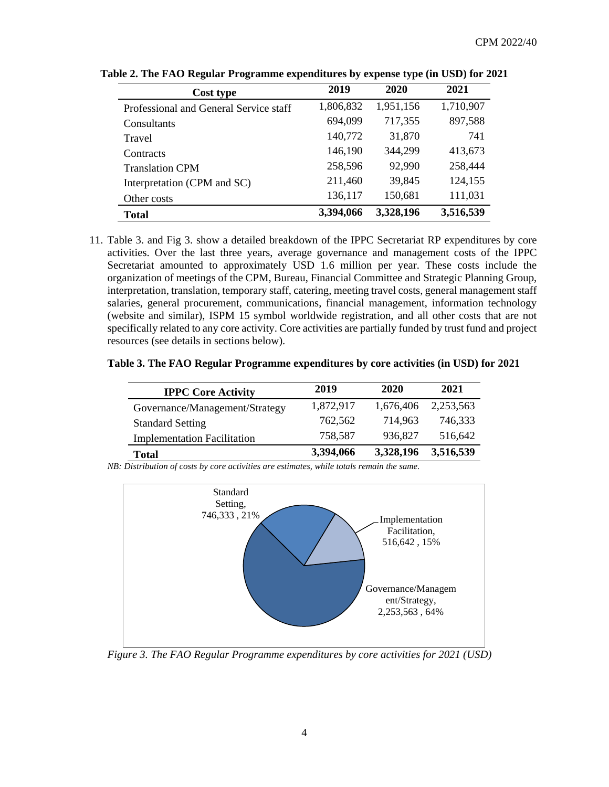| Cost type                              | 2019      | 2020      | 2021      |
|----------------------------------------|-----------|-----------|-----------|
| Professional and General Service staff | 1,806,832 | 1,951,156 | 1,710,907 |
| Consultants                            | 694,099   | 717,355   | 897,588   |
| Travel                                 | 140,772   | 31,870    | 741       |
| Contracts                              | 146,190   | 344,299   | 413,673   |
| <b>Translation CPM</b>                 | 258,596   | 92,990    | 258,444   |
| Interpretation (CPM and SC)            | 211,460   | 39,845    | 124,155   |
| Other costs                            | 136,117   | 150,681   | 111,031   |
| <b>Total</b>                           | 3,394,066 | 3,328,196 | 3,516,539 |

**Table 2. The FAO Regular Programme expenditures by expense type (in USD) for 2021**

11. Table 3. and Fig 3. show a detailed breakdown of the IPPC Secretariat RP expenditures by core activities. Over the last three years, average governance and management costs of the IPPC Secretariat amounted to approximately USD 1.6 million per year. These costs include the organization of meetings of the CPM, Bureau, Financial Committee and Strategic Planning Group, interpretation, translation, temporary staff, catering, meeting travel costs, general management staff salaries, general procurement, communications, financial management, information technology (website and similar), ISPM 15 symbol worldwide registration, and all other costs that are not specifically related to any core activity. Core activities are partially funded by trust fund and project resources (see details in sections below).

#### **Table 3. The FAO Regular Programme expenditures by core activities (in USD) for 2021**

| <b>IPPC Core Activity</b>          | 2019      | 2020      | 2021      |
|------------------------------------|-----------|-----------|-----------|
| Governance/Management/Strategy     | 1,872,917 | 1,676,406 | 2,253,563 |
| <b>Standard Setting</b>            | 762,562   | 714.963   | 746.333   |
| <b>Implementation Facilitation</b> | 758,587   | 936,827   | 516,642   |
| Total                              | 3,394,066 | 3,328,196 | 3,516,539 |

*NB: Distribution of costs by core activities are estimates, while totals remain the same.*



*Figure 3. The FAO Regular Programme expenditures by core activities for 2021 (USD)*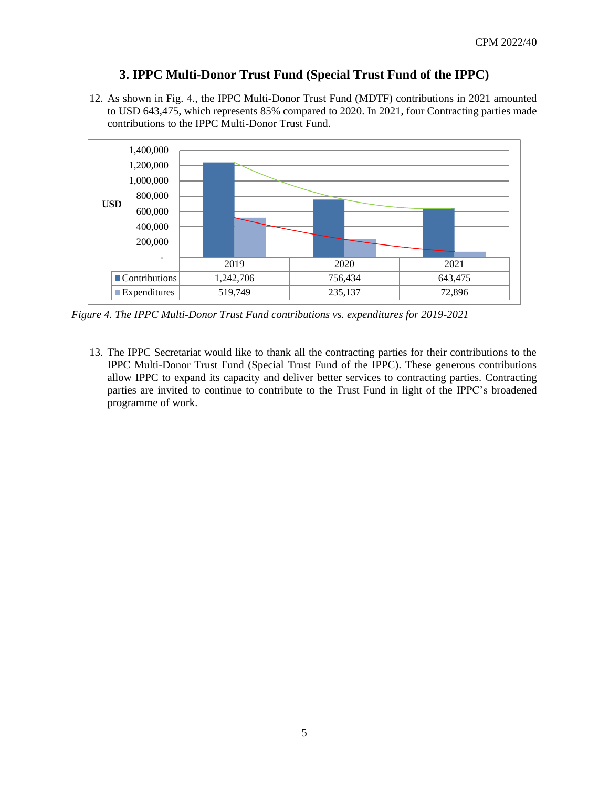#### **3. IPPC Multi-Donor Trust Fund (Special Trust Fund of the IPPC)**

12. As shown in Fig. 4., the IPPC Multi-Donor Trust Fund (MDTF) contributions in 2021 amounted to USD 643,475, which represents 85% compared to 2020. In 2021, four Contracting parties made contributions to the IPPC Multi-Donor Trust Fund.



*Figure 4. The IPPC Multi-Donor Trust Fund contributions vs. expenditures for 2019-2021*

13. The IPPC Secretariat would like to thank all the contracting parties for their contributions to the IPPC Multi-Donor Trust Fund (Special Trust Fund of the IPPC). These generous contributions allow IPPC to expand its capacity and deliver better services to contracting parties. Contracting parties are invited to continue to contribute to the Trust Fund in light of the IPPC's broadened programme of work.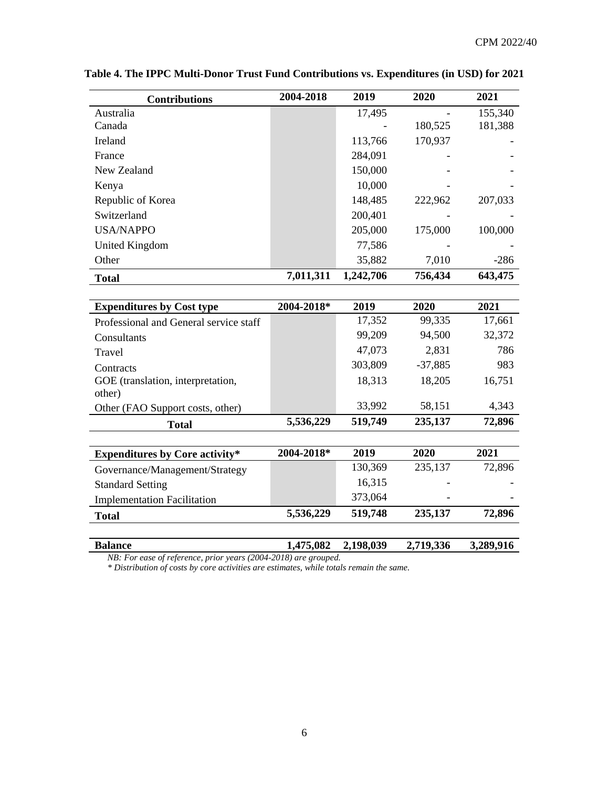| <b>Contributions</b> | 2004-2018 | 2019      | 2020    | 2021    |
|----------------------|-----------|-----------|---------|---------|
| Australia            |           | 17,495    |         | 155,340 |
| Canada               |           |           | 180,525 | 181,388 |
| Ireland              |           | 113,766   | 170,937 |         |
| France               |           | 284,091   |         |         |
| New Zealand          |           | 150,000   |         |         |
| Kenya                |           | 10,000    |         |         |
| Republic of Korea    |           | 148,485   | 222,962 | 207,033 |
| Switzerland          |           | 200,401   |         |         |
| <b>USA/NAPPO</b>     |           | 205,000   | 175,000 | 100,000 |
| United Kingdom       |           | 77,586    |         |         |
| Other                |           | 35,882    | 7,010   | $-286$  |
| <b>Total</b>         | 7,011,311 | 1,242,706 | 756,434 | 643,475 |

**Table 4. The IPPC Multi-Donor Trust Fund Contributions vs. Expenditures (in USD) for 2021**

| <b>Expenditures by Cost type</b>       | 2004-2018* | 2019    | 2020      | 2021   |
|----------------------------------------|------------|---------|-----------|--------|
| Professional and General service staff |            | 17,352  | 99,335    | 17,661 |
| Consultants                            |            | 99,209  | 94,500    | 32,372 |
| Travel                                 |            | 47,073  | 2,831     | 786    |
| Contracts                              |            | 303,809 | $-37,885$ | 983    |
| GOE (translation, interpretation,      |            | 18,313  | 18,205    | 16,751 |
| other)                                 |            |         |           |        |
| Other (FAO Support costs, other)       |            | 33,992  | 58,151    | 4,343  |
| <b>Total</b>                           | 5,536,229  | 519,749 | 235,137   | 72,896 |
|                                        |            |         |           |        |
| <b>Expenditures by Core activity*</b>  | 2004-2018* | 2019    | 2020      | 2021   |
| Governance/Management/Strategy         |            | 130,369 | 235,137   | 72,896 |
| <b>Standard Setting</b>                |            | 16,315  |           |        |
| <b>Implementation Facilitation</b>     |            | 373,064 |           |        |
| <b>Total</b>                           | 5,536,229  | 519,748 | 235,137   | 72,896 |

**Balance 1,475,082 2,198,039 2,719,336 3,289,916** 

*NB: For ease of reference, prior years (2004-2018) are grouped.*

*\* Distribution of costs by core activities are estimates, while totals remain the same.*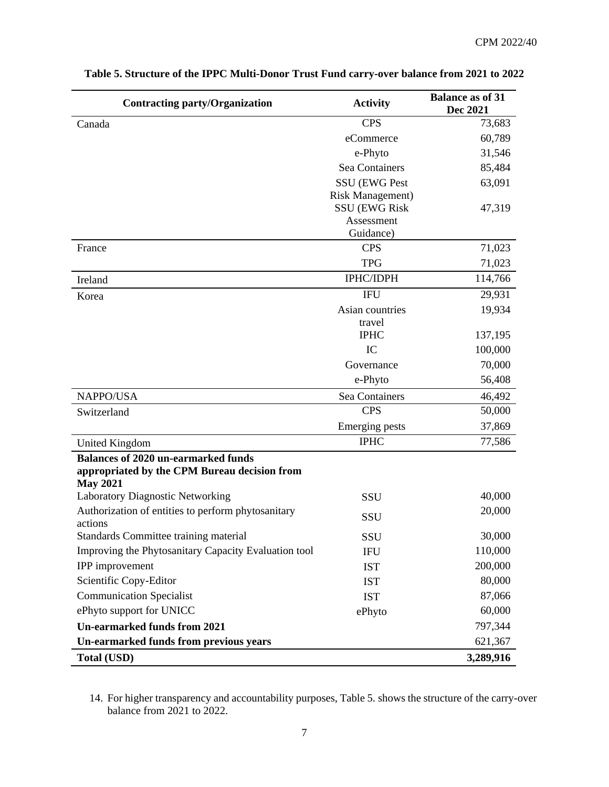| <b>Contracting party/Organization</b>                                                                         | <b>Activity</b>                                  | <b>Balance as of 31</b><br>Dec 2021 |
|---------------------------------------------------------------------------------------------------------------|--------------------------------------------------|-------------------------------------|
| Canada                                                                                                        | <b>CPS</b>                                       | 73,683                              |
|                                                                                                               | eCommerce                                        | 60,789                              |
|                                                                                                               | e-Phyto                                          | 31,546                              |
|                                                                                                               | Sea Containers                                   | 85,484                              |
|                                                                                                               | SSU (EWG Pest                                    | 63,091                              |
|                                                                                                               | <b>Risk Management)</b><br><b>SSU (EWG Risk)</b> | 47,319                              |
|                                                                                                               | Assessment                                       |                                     |
|                                                                                                               | Guidance)                                        |                                     |
| France                                                                                                        | <b>CPS</b>                                       | 71,023                              |
|                                                                                                               | <b>TPG</b>                                       | 71,023                              |
| Ireland                                                                                                       | <b>IPHC/IDPH</b>                                 | 114,766                             |
| Korea                                                                                                         | <b>IFU</b>                                       | 29,931                              |
|                                                                                                               | Asian countries                                  | 19,934                              |
|                                                                                                               | travel<br><b>IPHC</b>                            | 137,195                             |
|                                                                                                               | IC                                               | 100,000                             |
|                                                                                                               | Governance                                       | 70,000                              |
|                                                                                                               | e-Phyto                                          | 56,408                              |
| NAPPO/USA                                                                                                     | Sea Containers                                   | 46,492                              |
| Switzerland                                                                                                   | <b>CPS</b>                                       | 50,000                              |
|                                                                                                               | <b>Emerging pests</b>                            | 37,869                              |
| <b>United Kingdom</b>                                                                                         | <b>IPHC</b>                                      | 77,586                              |
| <b>Balances of 2020 un-earmarked funds</b><br>appropriated by the CPM Bureau decision from<br><b>May 2021</b> |                                                  |                                     |
| Laboratory Diagnostic Networking                                                                              | SSU                                              | 40,000                              |
| Authorization of entities to perform phytosanitary<br>actions                                                 | SSU                                              | 20,000                              |
| Standards Committee training material                                                                         | SSU                                              | 30,000                              |
| Improving the Phytosanitary Capacity Evaluation tool                                                          | <b>IFU</b>                                       | 110,000                             |
| IPP improvement                                                                                               | <b>IST</b>                                       | 200,000                             |
| Scientific Copy-Editor                                                                                        | <b>IST</b>                                       | 80,000                              |
| <b>Communication Specialist</b>                                                                               | <b>IST</b>                                       | 87,066                              |
| ePhyto support for UNICC                                                                                      | ePhyto                                           | 60,000                              |
| <b>Un-earmarked funds from 2021</b>                                                                           |                                                  | 797,344                             |
| Un-earmarked funds from previous years                                                                        |                                                  | 621,367                             |
| <b>Total (USD)</b>                                                                                            |                                                  | 3,289,916                           |

## **Table 5. Structure of the IPPC Multi-Donor Trust Fund carry-over balance from 2021 to 2022**

<sup>14.</sup> For higher transparency and accountability purposes, Table 5. shows the structure of the carry-over balance from 2021 to 2022.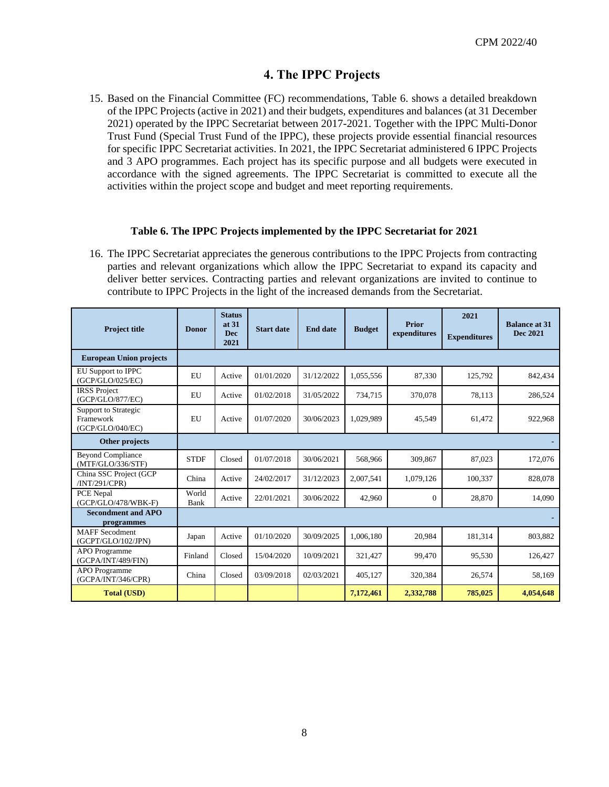#### **4. The IPPC Projects**

15. Based on the Financial Committee (FC) recommendations, Table 6. shows a detailed breakdown of the IPPC Projects (active in 2021) and their budgets, expenditures and balances (at 31 December 2021) operated by the IPPC Secretariat between 2017-2021. Together with the IPPC Multi-Donor Trust Fund (Special Trust Fund of the IPPC), these projects provide essential financial resources for specific IPPC Secretariat activities. In 2021, the IPPC Secretariat administered 6 IPPC Projects and 3 APO programmes. Each project has its specific purpose and all budgets were executed in accordance with the signed agreements. The IPPC Secretariat is committed to execute all the activities within the project scope and budget and meet reporting requirements.

#### **Table 6. The IPPC Projects implemented by the IPPC Secretariat for 2021**

16. The IPPC Secretariat appreciates the generous contributions to the IPPC Projects from contracting parties and relevant organizations which allow the IPPC Secretariat to expand its capacity and deliver better services. Contracting parties and relevant organizations are invited to continue to contribute to IPPC Projects in the light of the increased demands from the Secretariat.

| <b>Project title</b>                                  | <b>Donor</b>  | <b>Status</b><br>at 31<br><b>Dec</b><br>2021 | <b>Start date</b> | <b>End date</b> | <b>Budget</b> | Prior<br>expenditures | 2021<br><b>Expenditures</b> | <b>Balance at 31</b><br><b>Dec 2021</b> |
|-------------------------------------------------------|---------------|----------------------------------------------|-------------------|-----------------|---------------|-----------------------|-----------------------------|-----------------------------------------|
| <b>European Union projects</b>                        |               |                                              |                   |                 |               |                       |                             |                                         |
| <b>EU Support to IPPC</b><br>(GCP/GLO/025/EC)         | EU            | Active                                       | 01/01/2020        | 31/12/2022      | 1,055,556     | 87,330                | 125,792                     | 842,434                                 |
| <b>IRSS Project</b><br>(GCP/GLO/877/EC)               | EU            | Active                                       | 01/02/2018        | 31/05/2022      | 734,715       | 370,078               | 78,113                      | 286,524                                 |
| Support to Strategic<br>Framework<br>(GCP/GLO/040/EC) | EU            | Active                                       | 01/07/2020        | 30/06/2023      | 1,029,989     | 45,549                | 61,472                      | 922,968                                 |
| Other projects                                        |               |                                              |                   |                 |               |                       |                             |                                         |
| <b>Beyond Compliance</b><br>(MTF/GLO/336/STF)         | <b>STDF</b>   | Closed                                       | 01/07/2018        | 30/06/2021      | 568.966       | 309,867               | 87.023                      | 172,076                                 |
| China SSC Project (GCP<br>/INT/291/CPR)               | China         | Active                                       | 24/02/2017        | 31/12/2023      | 2.007.541     | 1,079,126             | 100,337                     | 828,078                                 |
| PCE Nepal<br>(GCP/GLO/478/WBK-F)                      | World<br>Bank | Active                                       | 22/01/2021        | 30/06/2022      | 42,960        | $\Omega$              | 28,870                      | 14,090                                  |
| <b>Secondment and APO</b><br>programmes               |               |                                              |                   |                 |               |                       |                             |                                         |
| <b>MAFF</b> Secodment<br>(GCPT/GLO/102/JPN)           | Japan         | Active                                       | 01/10/2020        | 30/09/2025      | 1.006.180     | 20.984                | 181,314                     | 803,882                                 |
| APO Programme<br>(GCPA/INT/489/FIN)                   | Finland       | Closed                                       | 15/04/2020        | 10/09/2021      | 321,427       | 99,470                | 95,530                      | 126,427                                 |
| APO Programme<br>(GCPA/INT/346/CPR)                   | China         | Closed                                       | 03/09/2018        | 02/03/2021      | 405,127       | 320,384               | 26,574                      | 58,169                                  |
| <b>Total (USD)</b>                                    |               |                                              |                   |                 | 7,172,461     | 2,332,788             | 785,025                     | 4,054,648                               |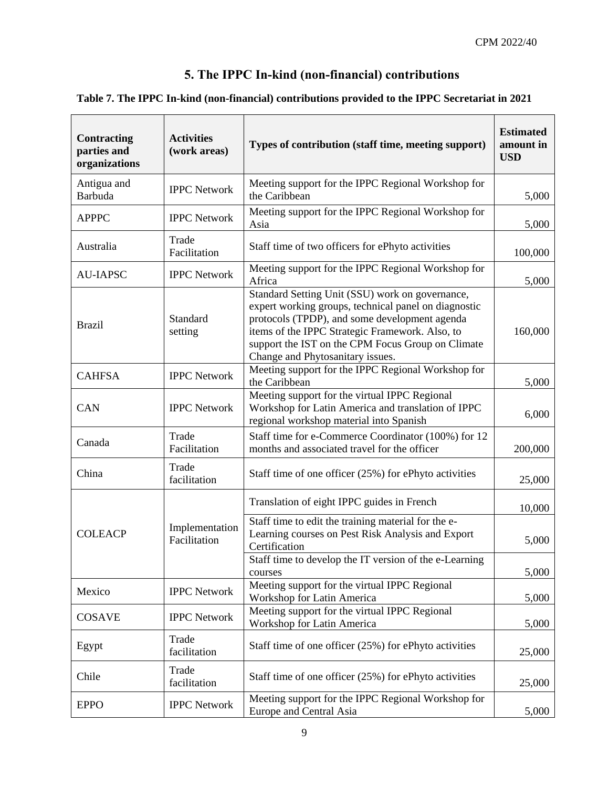# **5. The IPPC In-kind (non-financial) contributions**

#### **Table 7. The IPPC In-kind (non-financial) contributions provided to the IPPC Secretariat in 2021**

| <b>Contracting</b><br>parties and<br>organizations | <b>Activities</b><br>(work areas) | Types of contribution (staff time, meeting support)                                                                                                                                                                                                                                                  | <b>Estimated</b><br>amount in<br><b>USD</b> |
|----------------------------------------------------|-----------------------------------|------------------------------------------------------------------------------------------------------------------------------------------------------------------------------------------------------------------------------------------------------------------------------------------------------|---------------------------------------------|
| Antigua and<br><b>Barbuda</b>                      | <b>IPPC Network</b>               | Meeting support for the IPPC Regional Workshop for<br>the Caribbean                                                                                                                                                                                                                                  | 5,000                                       |
| <b>APPPC</b>                                       | <b>IPPC Network</b>               | Meeting support for the IPPC Regional Workshop for<br>Asia                                                                                                                                                                                                                                           | 5,000                                       |
| Australia                                          | Trade<br>Facilitation             | Staff time of two officers for ePhyto activities                                                                                                                                                                                                                                                     | 100,000                                     |
| <b>AU-IAPSC</b>                                    | <b>IPPC Network</b>               | Meeting support for the IPPC Regional Workshop for<br>Africa                                                                                                                                                                                                                                         | 5,000                                       |
| <b>Brazil</b>                                      | Standard<br>setting               | Standard Setting Unit (SSU) work on governance,<br>expert working groups, technical panel on diagnostic<br>protocols (TPDP), and some development agenda<br>items of the IPPC Strategic Framework. Also, to<br>support the IST on the CPM Focus Group on Climate<br>Change and Phytosanitary issues. | 160,000                                     |
| <b>CAHFSA</b>                                      | <b>IPPC Network</b>               | Meeting support for the IPPC Regional Workshop for<br>the Caribbean                                                                                                                                                                                                                                  | 5,000                                       |
| CAN                                                | <b>IPPC Network</b>               | Meeting support for the virtual IPPC Regional<br>Workshop for Latin America and translation of IPPC<br>regional workshop material into Spanish                                                                                                                                                       | 6,000                                       |
| Canada                                             | Trade<br>Facilitation             | Staff time for e-Commerce Coordinator (100%) for 12<br>months and associated travel for the officer                                                                                                                                                                                                  | 200,000                                     |
| China                                              | Trade<br>facilitation             | Staff time of one officer (25%) for ePhyto activities                                                                                                                                                                                                                                                | 25,000                                      |
|                                                    |                                   | Translation of eight IPPC guides in French                                                                                                                                                                                                                                                           | 10,000                                      |
| <b>COLEACP</b>                                     | Implementation<br>Facilitation    | Staff time to edit the training material for the e-<br>Learning courses on Pest Risk Analysis and Export<br>Certification                                                                                                                                                                            | 5,000                                       |
|                                                    |                                   | Staff time to develop the IT version of the e-Learning<br>courses                                                                                                                                                                                                                                    | 5,000                                       |
| Mexico                                             | <b>IPPC Network</b>               | Meeting support for the virtual IPPC Regional<br>Workshop for Latin America                                                                                                                                                                                                                          | 5,000                                       |
| <b>COSAVE</b>                                      | <b>IPPC Network</b>               | Meeting support for the virtual IPPC Regional<br>Workshop for Latin America                                                                                                                                                                                                                          | 5,000                                       |
| Egypt                                              | Trade<br>facilitation             | Staff time of one officer (25%) for ePhyto activities                                                                                                                                                                                                                                                | 25,000                                      |
| Chile                                              | Trade<br>facilitation             | Staff time of one officer (25%) for ePhyto activities                                                                                                                                                                                                                                                | 25,000                                      |
| <b>EPPO</b>                                        | <b>IPPC Network</b>               | Meeting support for the IPPC Regional Workshop for<br>Europe and Central Asia                                                                                                                                                                                                                        | 5,000                                       |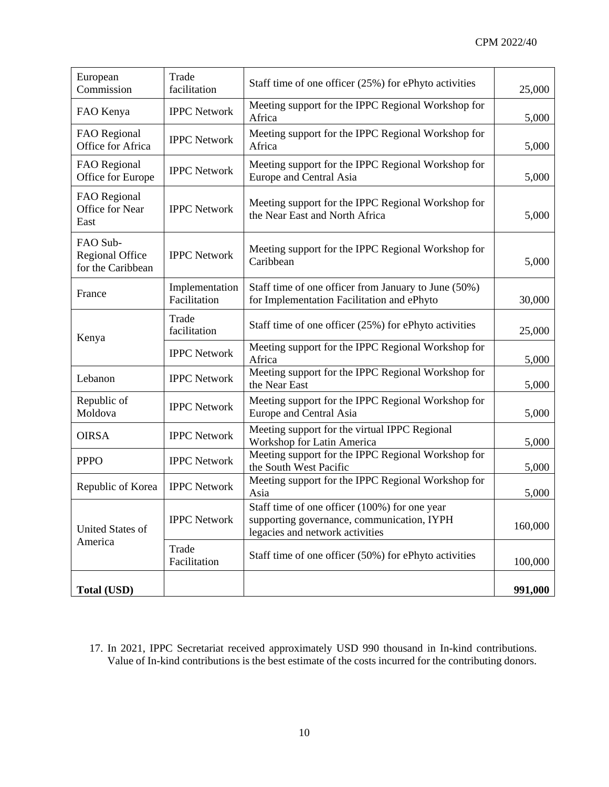| European<br>Commission                                  | Trade<br>facilitation          | Staff time of one officer (25%) for ePhyto activities                                                                          | 25,000  |
|---------------------------------------------------------|--------------------------------|--------------------------------------------------------------------------------------------------------------------------------|---------|
| FAO Kenya                                               | <b>IPPC Network</b>            | Meeting support for the IPPC Regional Workshop for<br>Africa                                                                   | 5,000   |
| FAO Regional<br>Office for Africa                       | <b>IPPC Network</b>            | Meeting support for the IPPC Regional Workshop for<br>Africa                                                                   | 5,000   |
| FAO Regional<br>Office for Europe                       | <b>IPPC Network</b>            | Meeting support for the IPPC Regional Workshop for<br>Europe and Central Asia                                                  | 5,000   |
| FAO Regional<br>Office for Near<br>East                 | <b>IPPC Network</b>            | Meeting support for the IPPC Regional Workshop for<br>the Near East and North Africa                                           | 5,000   |
| FAO Sub-<br><b>Regional Office</b><br>for the Caribbean | <b>IPPC Network</b>            | Meeting support for the IPPC Regional Workshop for<br>Caribbean                                                                | 5,000   |
| France                                                  | Implementation<br>Facilitation | Staff time of one officer from January to June (50%)<br>for Implementation Facilitation and ePhyto                             | 30,000  |
| Kenya                                                   | Trade<br>facilitation          | Staff time of one officer (25%) for ePhyto activities                                                                          | 25,000  |
|                                                         | <b>IPPC Network</b>            | Meeting support for the IPPC Regional Workshop for<br>Africa                                                                   |         |
| Lebanon                                                 | <b>IPPC Network</b>            | Meeting support for the IPPC Regional Workshop for<br>the Near East                                                            | 5,000   |
| Republic of<br>Moldova                                  | <b>IPPC Network</b>            | Meeting support for the IPPC Regional Workshop for<br>Europe and Central Asia                                                  | 5,000   |
| <b>OIRSA</b>                                            | <b>IPPC Network</b>            | Meeting support for the virtual IPPC Regional<br>Workshop for Latin America                                                    | 5,000   |
| <b>PPPO</b>                                             | <b>IPPC Network</b>            | Meeting support for the IPPC Regional Workshop for<br>the South West Pacific                                                   | 5,000   |
| Republic of Korea                                       | <b>IPPC Network</b>            | Meeting support for the IPPC Regional Workshop for<br>Asia                                                                     | 5,000   |
| <b>United States of</b>                                 | <b>IPPC Network</b>            | Staff time of one officer (100%) for one year<br>supporting governance, communication, IYPH<br>legacies and network activities | 160,000 |
| America                                                 | Trade<br>Facilitation          | Staff time of one officer (50%) for ePhyto activities                                                                          | 100,000 |
| <b>Total (USD)</b>                                      |                                |                                                                                                                                | 991,000 |

17. In 2021, IPPC Secretariat received approximately USD 990 thousand in In-kind contributions. Value of In-kind contributions is the best estimate of the costs incurred for the contributing donors.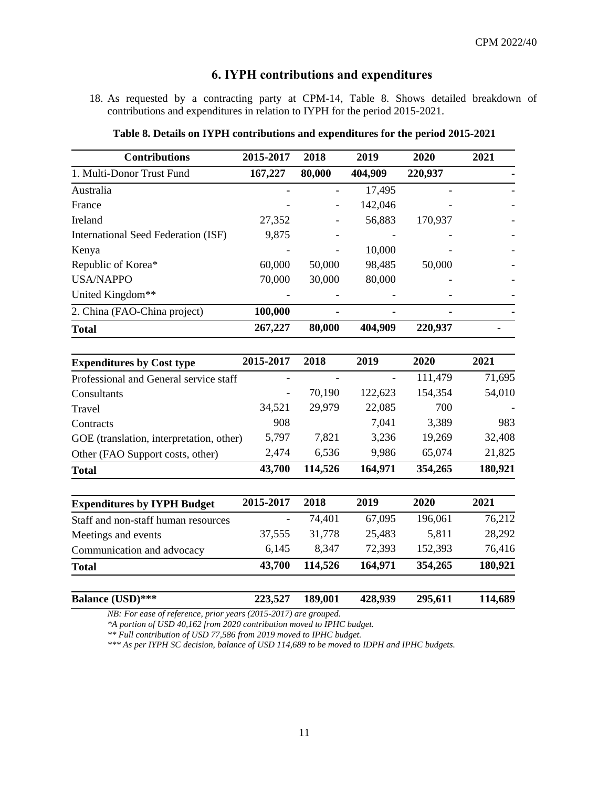### **6. IYPH contributions and expenditures**

18. As requested by a contracting party at CPM-14, Table 8. Shows detailed breakdown of contributions and expenditures in relation to IYPH for the period 2015-2021.

| <b>Contributions</b>                     | 2015-2017 | 2018    | 2019    | 2020    | 2021    |
|------------------------------------------|-----------|---------|---------|---------|---------|
| 1. Multi-Donor Trust Fund                | 167,227   | 80,000  | 404,909 | 220,937 |         |
| Australia                                |           |         | 17,495  |         |         |
| France                                   |           |         | 142,046 |         |         |
| Ireland                                  | 27,352    |         | 56,883  | 170,937 |         |
| International Seed Federation (ISF)      | 9,875     |         |         |         |         |
| Kenya                                    |           |         | 10,000  |         |         |
| Republic of Korea*                       | 60,000    | 50,000  | 98,485  | 50,000  |         |
| <b>USA/NAPPO</b>                         | 70,000    | 30,000  | 80,000  |         |         |
| United Kingdom**                         |           |         |         |         |         |
| 2. China (FAO-China project)             | 100,000   |         |         |         |         |
| <b>Total</b>                             | 267,227   | 80,000  | 404,909 | 220,937 |         |
| <b>Expenditures by Cost type</b>         | 2015-2017 | 2018    | 2019    | 2020    | 2021    |
| Professional and General service staff   |           |         |         | 111,479 | 71,695  |
| Consultants                              |           | 70,190  | 122,623 | 154,354 | 54,010  |
| Travel                                   | 34,521    | 29,979  | 22,085  | 700     |         |
| Contracts                                | 908       |         | 7,041   | 3,389   | 983     |
| GOE (translation, interpretation, other) | 5,797     | 7,821   | 3,236   | 19,269  | 32,408  |
| Other (FAO Support costs, other)         | 2,474     | 6,536   | 9,986   | 65,074  | 21,825  |
| <b>Total</b>                             | 43,700    | 114,526 | 164,971 | 354,265 | 180,921 |
| <b>Expenditures by IYPH Budget</b>       | 2015-2017 | 2018    | 2019    | 2020    | 2021    |
| Staff and non-staff human resources      |           | 74,401  | 67,095  | 196,061 | 76,212  |

**Table 8. Details on IYPH contributions and expenditures for the period 2015-2021**

*NB: For ease of reference, prior years (2015-2017) are grouped.*

*\*A portion of USD 40,162 from 2020 contribution moved to IPHC budget.*

*\*\* Full contribution of USD 77,586 from 2019 moved to IPHC budget.*

*\*\*\* As per IYPH SC decision, balance of USD 114,689 to be moved to IDPH and IPHC budgets.*

Meetings and events 37,555 31,778 25,483 5,811 28,292 Communication and advocacy 6,145 8,347 72,393 152,393 76,416 **Total 43,700 114,526 164,971 354,265 180,921** 

**Balance (USD)\*\*\* 223,527 189,001 428,939 295,611 114,689**